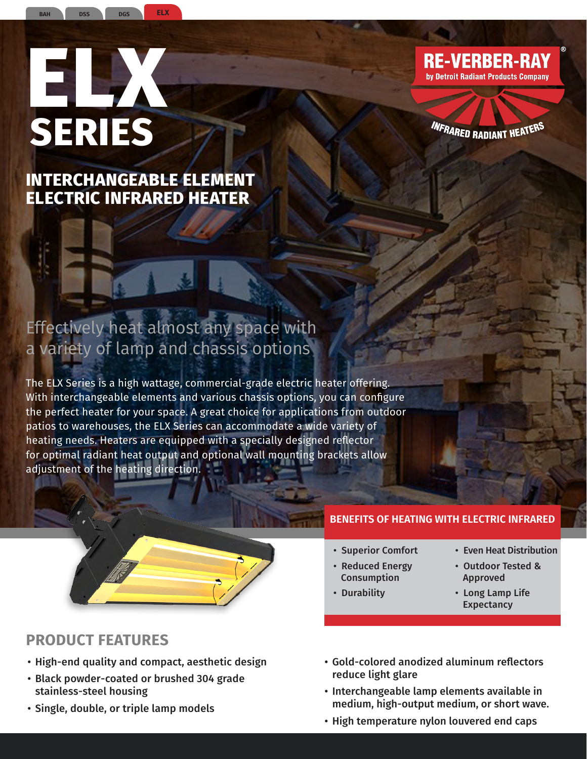# **ELX SERIES**

**DGS**

**BAH DSS ELX**

**INTERCHANGEABLE ELEMENT ELECTRIC INFRARED HEATER**

# Effectively heat almost any space with a variety of lamp and chassis options

The ELX Series is a high wattage, commercial-grade electric heater offering. With interchangeable elements and various chassis options, you can configure the perfect heater for your space. A great choice for applications from outdoor patios to warehouses, the ELX Series can accommodate a wide variety of heating needs. Heaters are equipped with a specially designed reflector for optimal radiant heat output and optional wall mounting brackets allow adjustment of the heating direction.



# **PRODUCT FEATURES**

- High-end quality and compact, aesthetic design
- Black powder-coated or brushed 304 grade stainless-steel housing
- Single, double, or triple lamp models

#### **BENEFITS OF HEATING WITH ELECTRIC INFRARED**

- Superior Comfort
- Reduced Energy
- Consumption
- Durability
- Even Heat Distribution
- Outdoor Tested & Approved
- Long Lamp Life **Expectancy**
- Gold-colored anodized aluminum reflectors reduce light glare
- Interchangeable lamp elements available in medium, high-output medium, or short wave.
- High temperature nylon louvered end caps



*INFRARED RADIANT HEATER*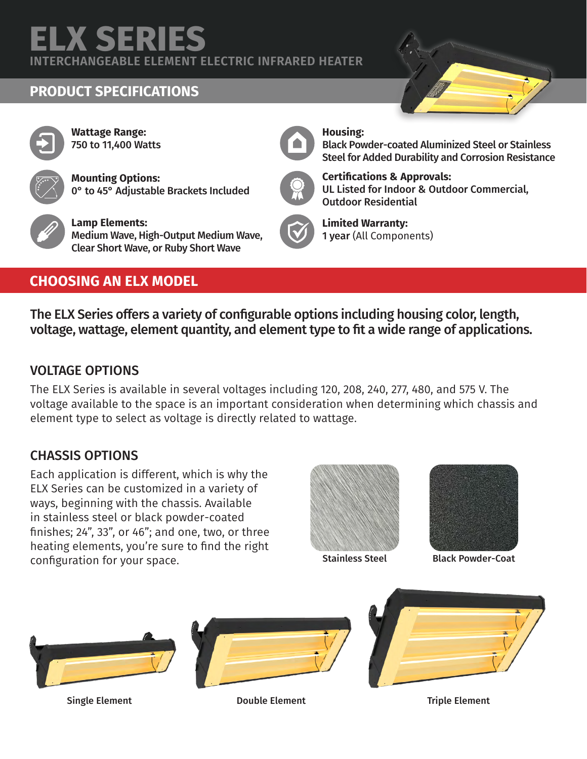# **ELX SERIES**

**INTERCHANGEABLE ELEMENT ELECTRIC INFRARED HEATER**

# **PRODUCT SPECIFICATIONS**







**Mounting Options:** 0° to 45° Adjustable Brackets Included



**Lamp Elements:** Medium Wave, High-Output Medium Wave, Clear Short Wave, or Ruby Short Wave

# **CHOOSING AN ELX MODEL**

#### **Housing:**



Black Powder-coated Aluminized Steel or Stainless Steel for Added Durability and Corrosion Resistance



#### **Certifications & Approvals:** UL Listed for Indoor & Outdoor Commercial, Outdoor Residential



**Limited Warranty:** 1 year (All Components)

The ELX Series offers a variety of configurable options including housing color, length, voltage, wattage, element quantity, and element type to fit a wide range of applications.

### VOLTAGE OPTIONS

The ELX Series is available in several voltages including 120, 208, 240, 277, 480, and 575 V. The voltage available to the space is an important consideration when determining which chassis and element type to select as voltage is directly related to wattage.

## CHASSIS OPTIONS

Each application is different, which is why the ELX Series can be customized in a variety of ways, beginning with the chassis. Available in stainless steel or black powder-coated finishes; 24", 33", or 46"; and one, two, or three heating elements, you're sure to find the right configuration for your space.



Stainless Steel



Black Powder-Coat

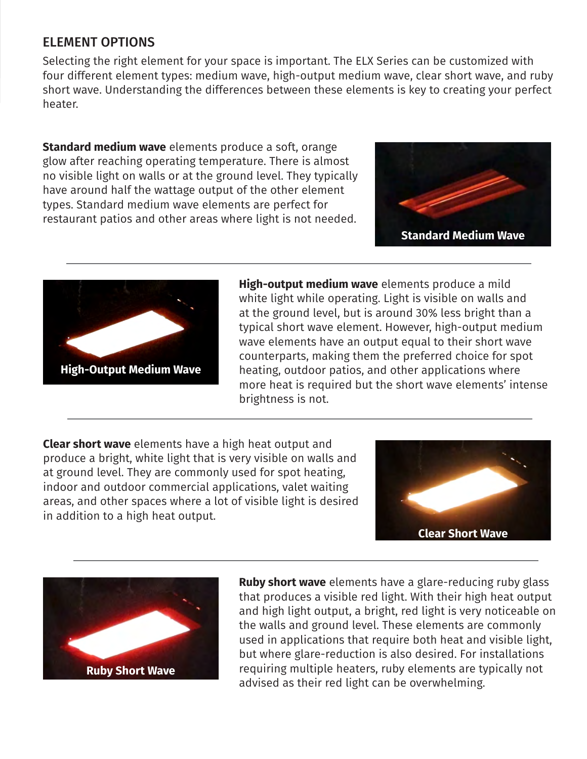#### ELEMENT OPTIONS

Selecting the right element for your space is important. The ELX Series can be customized with four different element types: medium wave, high-output medium wave, clear short wave, and ruby short wave. Understanding the differences between these elements is key to creating your perfect heater.

**Standard medium wave** elements produce a soft, orange glow after reaching operating temperature. There is almost no visible light on walls or at the ground level. They typically have around half the wattage output of the other element types. Standard medium wave elements are perfect for restaurant patios and other areas where light is not needed.





**High-output medium wave** elements produce a mild white light while operating. Light is visible on walls and at the ground level, but is around 30% less bright than a typical short wave element. However, high-output medium wave elements have an output equal to their short wave counterparts, making them the preferred choice for spot heating, outdoor patios, and other applications where more heat is required but the short wave elements' intense brightness is not.

**Clear short wave** elements have a high heat output and produce a bright, white light that is very visible on walls and at ground level. They are commonly used for spot heating, indoor and outdoor commercial applications, valet waiting areas, and other spaces where a lot of visible light is desired in addition to a high heat output.





**Ruby short wave** elements have a glare-reducing ruby glass that produces a visible red light. With their high heat output and high light output, a bright, red light is very noticeable on the walls and ground level. These elements are commonly used in applications that require both heat and visible light, but where glare-reduction is also desired. For installations requiring multiple heaters, ruby elements are typically not advised as their red light can be overwhelming.